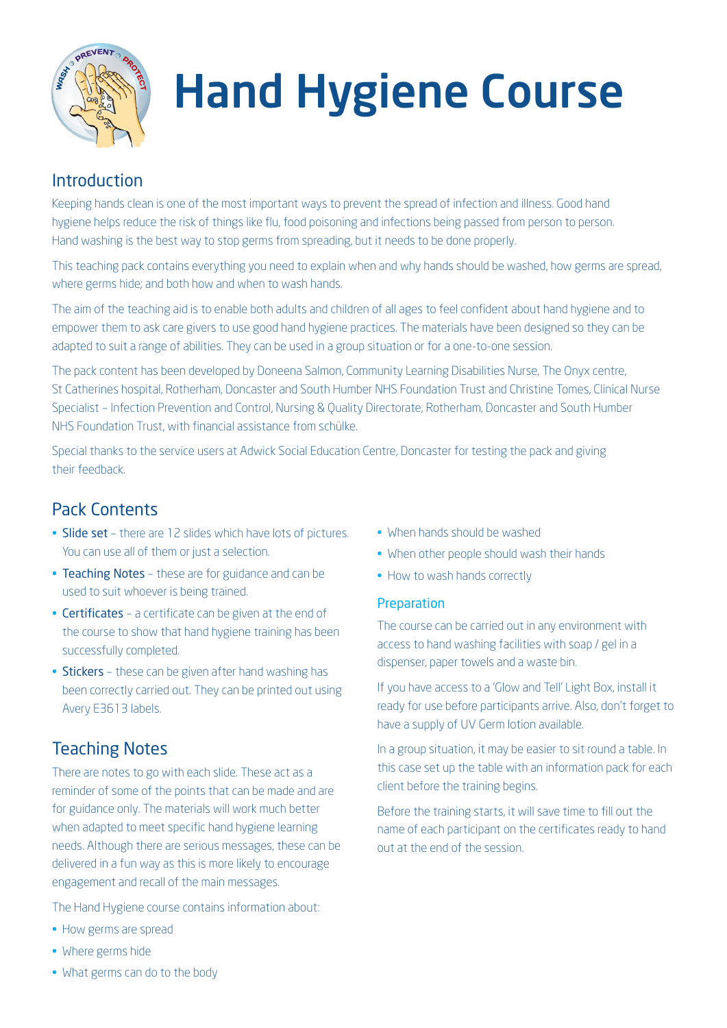

# Hand Hygiene Course

# Introduction

Keeping hands clean is one of the most important ways to prevent the spread of infection and illness. Good hand hygiene helps reduce the risk of things like flu, food poisoning and infections being passed from person to person. Hand washing is the best way to stop germs from spreading, but it needs to be done properly.

This teaching pack contains everything you need to explain when and why hands should be washed, how germs are spread, where germs hide; and both how and when to wash hands.

The aim of the teaching aid is to enable both adults and children of all ages to feel confident about hand hygiene and to empower them to ask care givers to use good hand hygiene practices. The materials have been designed so they can be adapted to suit a range of abilities. They can be used in a group situation or for a one-to-one session.

The pack content has been developed by Doneena Salmon, Community Learning Disabilities Nurse, The Onyx centre, St Catherines hospital, Rotherham, Doncaster and South Humber NHS Foundation Trust and Christine Tomes, Clinical Nurse Specialist – Infection Prevention and Control, Nursing & Quality Directorate, Rotherham, Doncaster and South Humber NHS Foundation Trust, with financial assistance from schülke.

Special thanks to the service users at Adwick Social Education Centre, Doncaster for testing the pack and giving their feedback.

# Pack Contents

- Slide set there are 12 slides which have lots of pictures. You can use all of them or just a selection.
- Teaching Notes these are for guidance and can be used to suit whoever is being trained.
- Certificates a certificate can be given at the end of the course to show that hand hygiene training has been successfully completed.
- Stickers these can be given after hand washing has been correctly carried out. They can be printed out using Avery E3613 labels.

# Teaching Notes

There are notes to go with each slide. These act as a reminder of some of the points that can be made and are for guidance only. The materials will work much better when adapted to meet specific hand hygiene learning needs. Although there are serious messages, these can be delivered in a fun way as this is more likely to encourage engagement and recall of the main messages.

The Hand Hygiene course contains information about:

- How germs are spread
- Where germs hide
- When hands should be washed
- When other people should wash their hands
- How to wash hands correctly

#### **Preparation**

The course can be carried out in any environment with access to hand washing facilities with soap / gel in a dispenser, paper towels and a waste bin.

If you have access to a 'Glow and Tell' Light Box, install it ready for use before participants arrive. Also, don't forget to have a supply of UV Germ lotion available.

In a group situation, it may be easier to sit round a table. In this case set up the table with an information pack for each client before the training begins.

Before the training starts, it will save time to fill out the name of each participant on the certificates ready to hand out at the end of the session.

• What germs can do to the body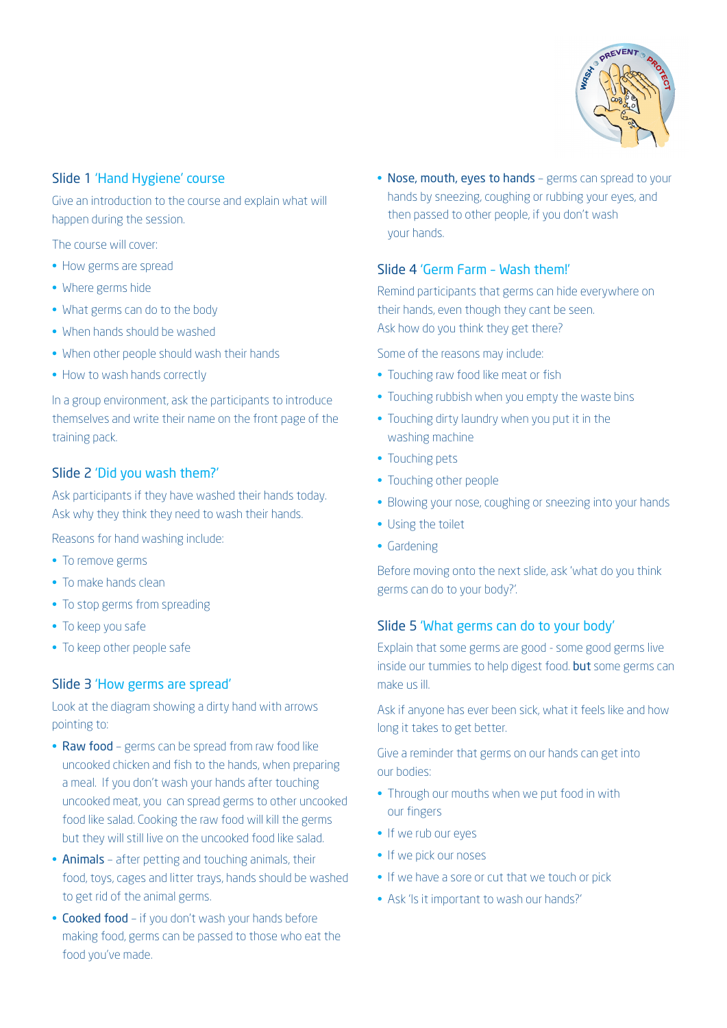

# Slide 1 'Hand Hygiene' course

Give an introduction to the course and explain what will happen during the session.

The course will cover:

- How germs are spread
- Where germs hide
- What germs can do to the body
- When hands should be washed
- When other people should wash their hands
- How to wash hands correctly

In a group environment, ask the participants to introduce themselves and write their name on the front page of the training pack.

# Slide 2 'Did you wash them?'

Ask participants if they have washed their hands today. Ask why they think they need to wash their hands.

Reasons for hand washing include:

- To remove germs
- To make hands clean
- To stop germs from spreading
- To keep you safe
- To keep other people safe

# Slide 3 'How germs are spread'

Look at the diagram showing a dirty hand with arrows pointing to:

- Raw food germs can be spread from raw food like uncooked chicken and fish to the hands, when preparing a meal. If you don't wash your hands after touching uncooked meat, you can spread germs to other uncooked food like salad. Cooking the raw food will kill the germs but they will still live on the uncooked food like salad.
- Animals after petting and touching animals, their food, toys, cages and litter trays, hands should be washed to get rid of the animal germs.
- Cooked food if you don't wash your hands before making food, germs can be passed to those who eat the food you've made.

• Nose, mouth, eyes to hands - germs can spread to your hands by sneezing, coughing or rubbing your eyes, and then passed to other people, if you don't wash your hands.

## Slide 4 'Germ Farm – Wash them!'

Remind participants that germs can hide everywhere on their hands, even though they cant be seen. Ask how do you think they get there?

Some of the reasons may include:

- Touching raw food like meat or fish
- Touching rubbish when you empty the waste bins
- Touching dirty laundry when you put it in the washing machine
- Touching pets
- Touching other people
- Blowing your nose, coughing or sneezing into your hands
- Using the toilet
- Gardening

Before moving onto the next slide, ask 'what do you think germs can do to your body?'.

#### Slide 5 'What germs can do to your body'

Explain that some germs are good - some good germs live inside our tummies to help digest food. but some germs can make us ill.

Ask if anyone has ever been sick, what it feels like and how long it takes to get better.

Give a reminder that germs on our hands can get into our bodies:

- Through our mouths when we put food in with our fingers
- If we rub our eyes
- If we pick our noses
- If we have a sore or cut that we touch or pick
- Ask 'Is it important to wash our hands?'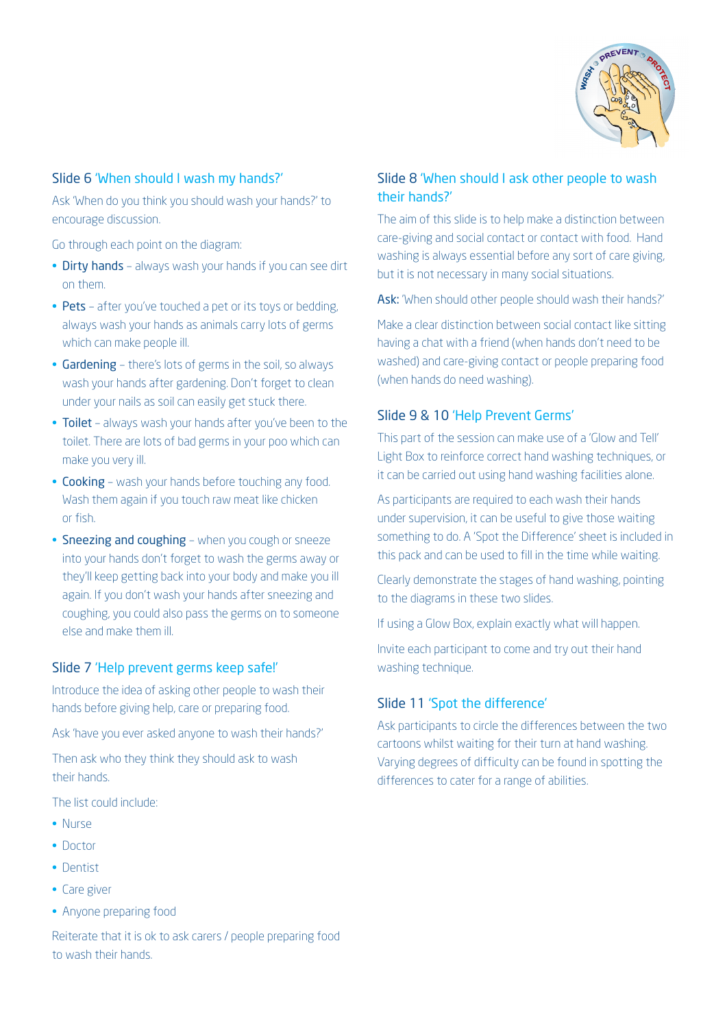

## Slide 6 'When should I wash my hands?'

Ask 'When do you think you should wash your hands?' to encourage discussion.

Go through each point on the diagram:

- Dirty hands always wash your hands if you can see dirt on them.
- Pets after you've touched a pet or its toys or bedding, always wash your hands as animals carry lots of germs which can make people ill.
- Gardening there's lots of germs in the soil, so always wash your hands after gardening. Don't forget to clean under your nails as soil can easily get stuck there.
- Toilet always wash your hands after you've been to the toilet. There are lots of bad germs in your poo which can make you very ill.
- Cooking wash your hands before touching any food. Wash them again if you touch raw meat like chicken or fish.
- Sneezing and coughing when you cough or sneeze into your hands don't forget to wash the germs away or they'll keep getting back into your body and make you ill again. If you don't wash your hands after sneezing and coughing, you could also pass the germs on to someone else and make them ill.

#### Slide 7 'Help prevent germs keep safe!'

Introduce the idea of asking other people to wash their hands before giving help, care or preparing food.

Ask 'have you ever asked anyone to wash their hands?'

Then ask who they think they should ask to wash their hands.

The list could include:

- • Nurse
- Doctor
- • Dentist
- Care giver
- Anyone preparing food

Reiterate that it is ok to ask carers / people preparing food to wash their hands.

# Slide 8 'When should I ask other people to wash their hands?'

The aim of this slide is to help make a distinction between care-giving and social contact or contact with food. Hand washing is always essential before any sort of care giving, but it is not necessary in many social situations.

Ask: 'When should other people should wash their hands?'

Make a clear distinction between social contact like sitting having a chat with a friend (when hands don't need to be washed) and care-giving contact or people preparing food (when hands do need washing).

#### Slide 9 & 10 'Help Prevent Germs'

This part of the session can make use of a 'Glow and Tell' Light Box to reinforce correct hand washing techniques, or it can be carried out using hand washing facilities alone.

As participants are required to each wash their hands under supervision, it can be useful to give those waiting something to do. A 'Spot the Difference' sheet is included in this pack and can be used to fill in the time while waiting.

Clearly demonstrate the stages of hand washing, pointing to the diagrams in these two slides.

If using a Glow Box, explain exactly what will happen.

Invite each participant to come and try out their hand washing technique.

## Slide 11 'Spot the difference'

Ask participants to circle the differences between the two cartoons whilst waiting for their turn at hand washing. Varying degrees of difficulty can be found in spotting the differences to cater for a range of abilities.